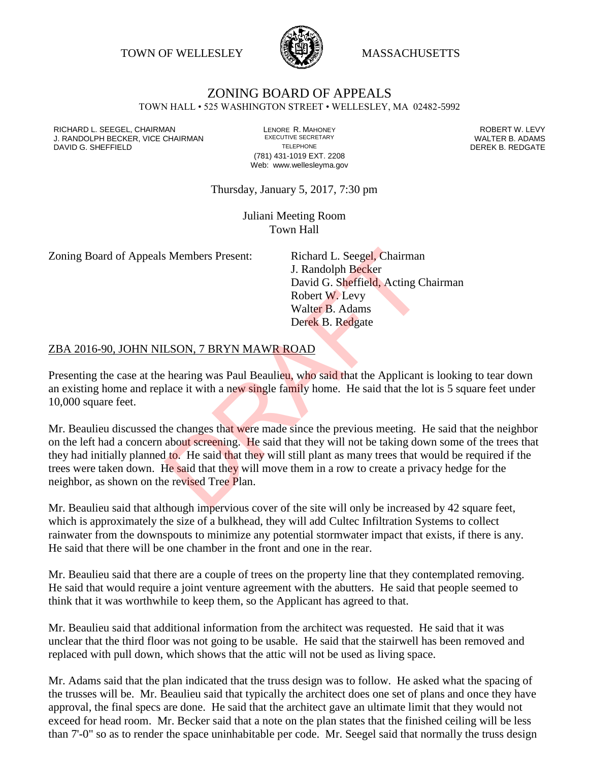TOWN OF WELLESLEY **WASSACHUSETTS** 



# ZONING BOARD OF APPEALS

TOWN HALL • 525 WASHINGTON STREET • WELLESLEY, MA 02482-5992

RICHARD L. SEEGEL, CHAIRMAN LENORE R. MAHONEY ROBERT W. LEVY J. RANDOLPH BECKER, VICE CHAIRMAN EXECUTIVE SECRETARY THE SECRETARY THE SANDOLPH BECKER B. ADAMS<br>DEREK B. REDGATE DAVID G. SHEFFIELD

(781) 431-1019 EXT. 2208 Web: www.wellesleyma.gov

Thursday, January 5, 2017, 7:30 pm

Juliani Meeting Room Town Hall

Zoning Board of Appeals Members Present: Richard L. Seegel, Chairman

J. Randolph Becker David G. Sheffield, Acting Chairman Robert W. Levy Walter B. Adams Derek B. Redgate

#### ZBA 2016-90, JOHN NILSON, 7 BRYN MAWR ROAD

Presenting the case at the hearing was Paul Beaulieu, who said that the Applicant is looking to tear down an existing home and replace it with a new single family home. He said that the lot is 5 square feet under 10,000 square feet.

Mr. Beaulieu discussed the changes that were made since the previous meeting. He said that the neighbor on the left had a concern about screening. He said that they will not be taking down some of the trees that they had initially planned to. He said that they will still plant as many trees that would be required if the trees were taken down. He said that they will move them in a row to create a privacy hedge for the neighbor, as shown on the revised Tree Plan. S Members Present:<br>
1. Randolph Becker<br>
David G. Sheffield, Acting C<br>
Robert W. Levy<br>
Walter B. Adams<br>
Derek B. Redgate<br>
LSON, 7 BRYN MAWR ROAD<br>
thearing was Paul Beaulieu, who said that the Applicant<br>
lace it with a new s

Mr. Beaulieu said that although impervious cover of the site will only be increased by 42 square feet, which is approximately the size of a bulkhead, they will add Cultec Infiltration Systems to collect rainwater from the downspouts to minimize any potential stormwater impact that exists, if there is any. He said that there will be one chamber in the front and one in the rear.

Mr. Beaulieu said that there are a couple of trees on the property line that they contemplated removing. He said that would require a joint venture agreement with the abutters. He said that people seemed to think that it was worthwhile to keep them, so the Applicant has agreed to that.

Mr. Beaulieu said that additional information from the architect was requested. He said that it was unclear that the third floor was not going to be usable. He said that the stairwell has been removed and replaced with pull down, which shows that the attic will not be used as living space.

Mr. Adams said that the plan indicated that the truss design was to follow. He asked what the spacing of the trusses will be. Mr. Beaulieu said that typically the architect does one set of plans and once they have approval, the final specs are done. He said that the architect gave an ultimate limit that they would not exceed for head room. Mr. Becker said that a note on the plan states that the finished ceiling will be less than 7'-0" so as to render the space uninhabitable per code. Mr. Seegel said that normally the truss design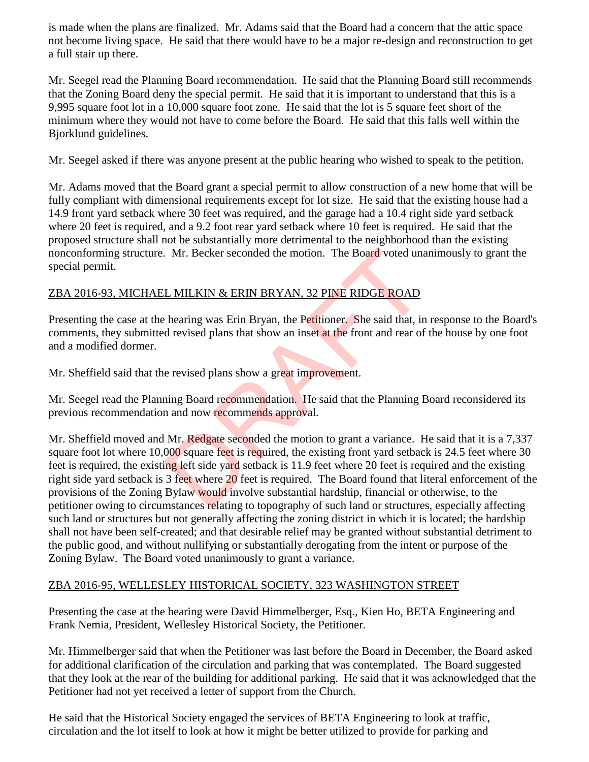is made when the plans are finalized. Mr. Adams said that the Board had a concern that the attic space not become living space. He said that there would have to be a major re-design and reconstruction to get a full stair up there.

Mr. Seegel read the Planning Board recommendation. He said that the Planning Board still recommends that the Zoning Board deny the special permit. He said that it is important to understand that this is a 9,995 square foot lot in a 10,000 square foot zone. He said that the lot is 5 square feet short of the minimum where they would not have to come before the Board. He said that this falls well within the Bjorklund guidelines.

Mr. Seegel asked if there was anyone present at the public hearing who wished to speak to the petition.

Mr. Adams moved that the Board grant a special permit to allow construction of a new home that will be fully compliant with dimensional requirements except for lot size. He said that the existing house had a 14.9 front yard setback where 30 feet was required, and the garage had a 10.4 right side yard setback where 20 feet is required, and a 9.2 foot rear yard setback where 10 feet is required. He said that the proposed structure shall not be substantially more detrimental to the neighborhood than the existing nonconforming structure. Mr. Becker seconded the motion. The Board voted unanimously to grant the special permit.

# ZBA 2016-93, MICHAEL MILKIN & ERIN BRYAN, 32 PINE RIDGE ROAD

Presenting the case at the hearing was Erin Bryan, the Petitioner. She said that, in response to the Board's comments, they submitted revised plans that show an inset at the front and rear of the house by one foot and a modified dormer.

Mr. Sheffield said that the revised plans show a great improvement.

Mr. Seegel read the Planning Board recommendation. He said that the Planning Board reconsidered its previous recommendation and now recommends approval.

Mr. Sheffield moved and Mr. Redgate seconded the motion to grant a variance. He said that it is a 7,337 square foot lot where 10,000 square feet is required, the existing front yard setback is 24.5 feet where 30 feet is required, the existing left side yard setback is 11.9 feet where 20 feet is required and the existing right side yard setback is 3 feet where 20 feet is required. The Board found that literal enforcement of the provisions of the Zoning Bylaw would involve substantial hardship, financial or otherwise, to the petitioner owing to circumstances relating to topography of such land or structures, especially affecting such land or structures but not generally affecting the zoning district in which it is located; the hardship shall not have been self-created; and that desirable relief may be granted without substantial detriment to the public good, and without nullifying or substantially derogating from the intent or purpose of the Zoning Bylaw. The Board voted unanimously to grant a variance. Mr. Becker seconded the motion. The Board voted una<br>
L MILKIN & ERIN BRYAN, 32 PINE RIDGE ROAD<br>
hearing was Erin Bryan, the Petitioner. She said that, in<br>
d revised plans that show an inset at the front and rear of<br>
e rev

# ZBA 2016-95, WELLESLEY HISTORICAL SOCIETY, 323 WASHINGTON STREET

Presenting the case at the hearing were David Himmelberger, Esq., Kien Ho, BETA Engineering and Frank Nemia, President, Wellesley Historical Society, the Petitioner.

Mr. Himmelberger said that when the Petitioner was last before the Board in December, the Board asked for additional clarification of the circulation and parking that was contemplated. The Board suggested that they look at the rear of the building for additional parking. He said that it was acknowledged that the Petitioner had not yet received a letter of support from the Church.

He said that the Historical Society engaged the services of BETA Engineering to look at traffic, circulation and the lot itself to look at how it might be better utilized to provide for parking and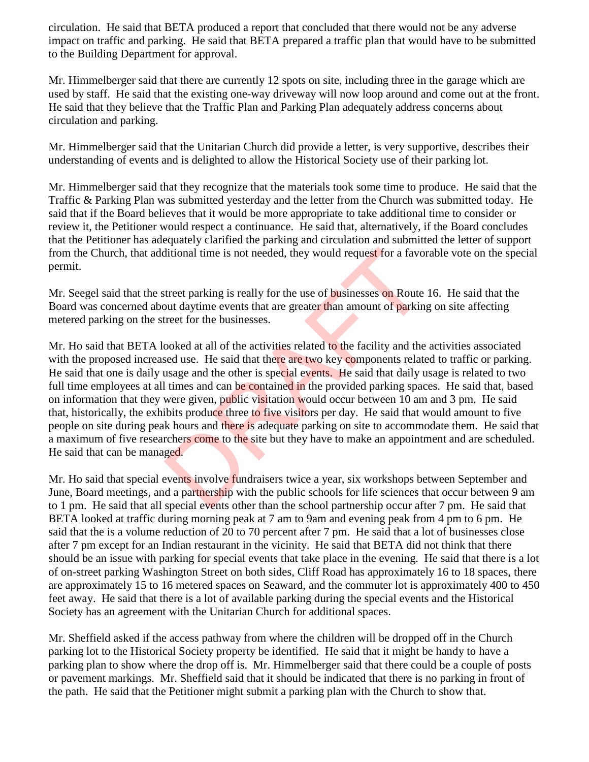circulation. He said that BETA produced a report that concluded that there would not be any adverse impact on traffic and parking. He said that BETA prepared a traffic plan that would have to be submitted to the Building Department for approval.

Mr. Himmelberger said that there are currently 12 spots on site, including three in the garage which are used by staff. He said that the existing one-way driveway will now loop around and come out at the front. He said that they believe that the Traffic Plan and Parking Plan adequately address concerns about circulation and parking.

Mr. Himmelberger said that the Unitarian Church did provide a letter, is very supportive, describes their understanding of events and is delighted to allow the Historical Society use of their parking lot.

Mr. Himmelberger said that they recognize that the materials took some time to produce. He said that the Traffic & Parking Plan was submitted yesterday and the letter from the Church was submitted today. He said that if the Board believes that it would be more appropriate to take additional time to consider or review it, the Petitioner would respect a continuance. He said that, alternatively, if the Board concludes that the Petitioner has adequately clarified the parking and circulation and submitted the letter of support from the Church, that additional time is not needed, they would request for a favorable vote on the special permit.

Mr. Seegel said that the street parking is really for the use of businesses on Route 16. He said that the Board was concerned about daytime events that are greater than amount of parking on site affecting metered parking on the street for the businesses.

Mr. Ho said that BETA looked at all of the activities related to the facility and the activities associated with the proposed increased use. He said that there are two key components related to traffic or parking. He said that one is daily usage and the other is special events. He said that daily usage is related to two full time employees at all times and can be contained in the provided parking spaces. He said that, based on information that they were given, public visitation would occur between 10 am and 3 pm. He said that, historically, the exhibits produce three to five visitors per day. He said that would amount to five people on site during peak hours and there is adequate parking on site to accommodate them. He said that a maximum of five researchers come to the site but they have to make an appointment and are scheduled. He said that can be managed. ditional time is not needed, they would request for a favo<br>threet parking is really for the use of businesses on Route<br>out daytime events that are greater than amount of parkin<br>treet for the businesses.<br>ooked at all of the

Mr. Ho said that special events involve fundraisers twice a year, six workshops between September and June, Board meetings, and a partnership with the public schools for life sciences that occur between 9 am to 1 pm. He said that all special events other than the school partnership occur after 7 pm. He said that BETA looked at traffic during morning peak at 7 am to 9am and evening peak from 4 pm to 6 pm. He said that the is a volume reduction of 20 to 70 percent after 7 pm. He said that a lot of businesses close after 7 pm except for an Indian restaurant in the vicinity. He said that BETA did not think that there should be an issue with parking for special events that take place in the evening. He said that there is a lot of on-street parking Washington Street on both sides, Cliff Road has approximately 16 to 18 spaces, there are approximately 15 to 16 metered spaces on Seaward, and the commuter lot is approximately 400 to 450 feet away. He said that there is a lot of available parking during the special events and the Historical Society has an agreement with the Unitarian Church for additional spaces.

Mr. Sheffield asked if the access pathway from where the children will be dropped off in the Church parking lot to the Historical Society property be identified. He said that it might be handy to have a parking plan to show where the drop off is. Mr. Himmelberger said that there could be a couple of posts or pavement markings. Mr. Sheffield said that it should be indicated that there is no parking in front of the path. He said that the Petitioner might submit a parking plan with the Church to show that.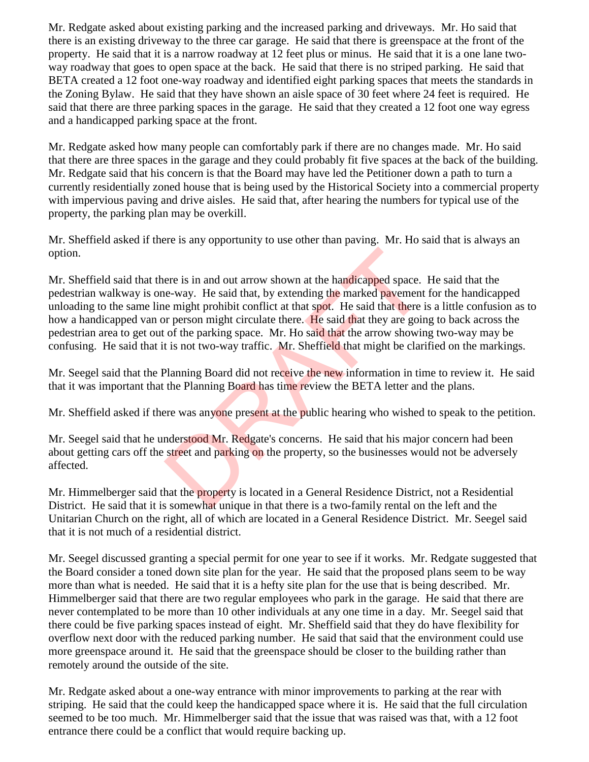Mr. Redgate asked about existing parking and the increased parking and driveways. Mr. Ho said that there is an existing driveway to the three car garage. He said that there is greenspace at the front of the property. He said that it is a narrow roadway at 12 feet plus or minus. He said that it is a one lane twoway roadway that goes to open space at the back. He said that there is no striped parking. He said that BETA created a 12 foot one-way roadway and identified eight parking spaces that meets the standards in the Zoning Bylaw. He said that they have shown an aisle space of 30 feet where 24 feet is required. He said that there are three parking spaces in the garage. He said that they created a 12 foot one way egress and a handicapped parking space at the front.

Mr. Redgate asked how many people can comfortably park if there are no changes made. Mr. Ho said that there are three spaces in the garage and they could probably fit five spaces at the back of the building. Mr. Redgate said that his concern is that the Board may have led the Petitioner down a path to turn a currently residentially zoned house that is being used by the Historical Society into a commercial property with impervious paving and drive aisles. He said that, after hearing the numbers for typical use of the property, the parking plan may be overkill.

Mr. Sheffield asked if there is any opportunity to use other than paving. Mr. Ho said that is always an option.

Mr. Sheffield said that there is in and out arrow shown at the handicapped space. He said that the pedestrian walkway is one-way. He said that, by extending the marked pavement for the handicapped unloading to the same line might prohibit conflict at that spot. He said that there is a little confusion as to how a handicapped van or person might circulate there. He said that they are going to back across the pedestrian area to get out of the parking space. Mr. Ho said that the arrow showing two-way may be confusing. He said that it is not two-way traffic. Mr. Sheffield that might be clarified on the markings. ere is in and out arrow shown at the handicapped space.<br>
e-way. He said that, by extending the marked pavement<br>
e might prohibit conflict at that spot. He said that there is<br>
or person might circulate there. He said that t

Mr. Seegel said that the Planning Board did not receive the new information in time to review it. He said that it was important that the Planning Board has time review the BETA letter and the plans.

Mr. Sheffield asked if there was anyone present at the public hearing who wished to speak to the petition.

Mr. Seegel said that he understood Mr. Redgate's concerns. He said that his major concern had been about getting cars off the street and parking on the property, so the businesses would not be adversely affected.

Mr. Himmelberger said that the property is located in a General Residence District, not a Residential District. He said that it is somewhat unique in that there is a two-family rental on the left and the Unitarian Church on the right, all of which are located in a General Residence District. Mr. Seegel said that it is not much of a residential district.

Mr. Seegel discussed granting a special permit for one year to see if it works. Mr. Redgate suggested that the Board consider a toned down site plan for the year. He said that the proposed plans seem to be way more than what is needed. He said that it is a hefty site plan for the use that is being described. Mr. Himmelberger said that there are two regular employees who park in the garage. He said that there are never contemplated to be more than 10 other individuals at any one time in a day. Mr. Seegel said that there could be five parking spaces instead of eight. Mr. Sheffield said that they do have flexibility for overflow next door with the reduced parking number. He said that said that the environment could use more greenspace around it. He said that the greenspace should be closer to the building rather than remotely around the outside of the site.

Mr. Redgate asked about a one-way entrance with minor improvements to parking at the rear with striping. He said that the could keep the handicapped space where it is. He said that the full circulation seemed to be too much. Mr. Himmelberger said that the issue that was raised was that, with a 12 foot entrance there could be a conflict that would require backing up.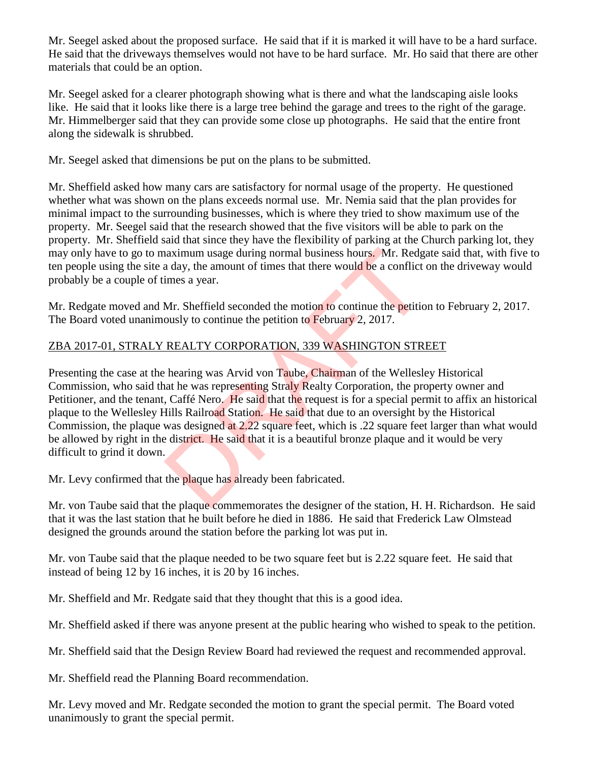Mr. Seegel asked about the proposed surface. He said that if it is marked it will have to be a hard surface. He said that the driveways themselves would not have to be hard surface. Mr. Ho said that there are other materials that could be an option.

Mr. Seegel asked for a clearer photograph showing what is there and what the landscaping aisle looks like. He said that it looks like there is a large tree behind the garage and trees to the right of the garage. Mr. Himmelberger said that they can provide some close up photographs. He said that the entire front along the sidewalk is shrubbed.

Mr. Seegel asked that dimensions be put on the plans to be submitted.

Mr. Sheffield asked how many cars are satisfactory for normal usage of the property. He questioned whether what was shown on the plans exceeds normal use. Mr. Nemia said that the plan provides for minimal impact to the surrounding businesses, which is where they tried to show maximum use of the property. Mr. Seegel said that the research showed that the five visitors will be able to park on the property. Mr. Sheffield said that since they have the flexibility of parking at the Church parking lot, they may only have to go to maximum usage during normal business hours. Mr. Redgate said that, with five to ten people using the site a day, the amount of times that there would be a conflict on the driveway would probably be a couple of times a year.

Mr. Redgate moved and Mr. Sheffield seconded the motion to continue the petition to February 2, 2017. The Board voted unanimously to continue the petition to February 2, 2017.

# ZBA 2017-01, STRALY REALTY CORPORATION, 339 WASHINGTON STREET

Presenting the case at the hearing was Arvid von Taube, Chairman of the Wellesley Historical Commission, who said that he was representing Straly Realty Corporation, the property owner and Petitioner, and the tenant, Caffé Nero. He said that the request is for a special permit to affix an historical plaque to the Wellesley Hills Railroad Station. He said that due to an oversight by the Historical Commission, the plaque was designed at 2.22 square feet, which is .22 square feet larger than what would be allowed by right in the district. He said that it is a beautiful bronze plaque and it would be very difficult to grind it down. naximum usage during normal business hours. Mr. Redg<br>a day, the amount of times that there would be a conflict<br>imes a year.<br>Mr. Sheffield seconded the motion to continue the petitic<br>ously to continue the petition to Februa

Mr. Levy confirmed that the plaque has already been fabricated.

Mr. von Taube said that the plaque commemorates the designer of the station, H. H. Richardson. He said that it was the last station that he built before he died in 1886. He said that Frederick Law Olmstead designed the grounds around the station before the parking lot was put in.

Mr. von Taube said that the plaque needed to be two square feet but is 2.22 square feet. He said that instead of being 12 by 16 inches, it is 20 by 16 inches.

Mr. Sheffield and Mr. Redgate said that they thought that this is a good idea.

Mr. Sheffield asked if there was anyone present at the public hearing who wished to speak to the petition.

Mr. Sheffield said that the Design Review Board had reviewed the request and recommended approval.

Mr. Sheffield read the Planning Board recommendation.

Mr. Levy moved and Mr. Redgate seconded the motion to grant the special permit. The Board voted unanimously to grant the special permit.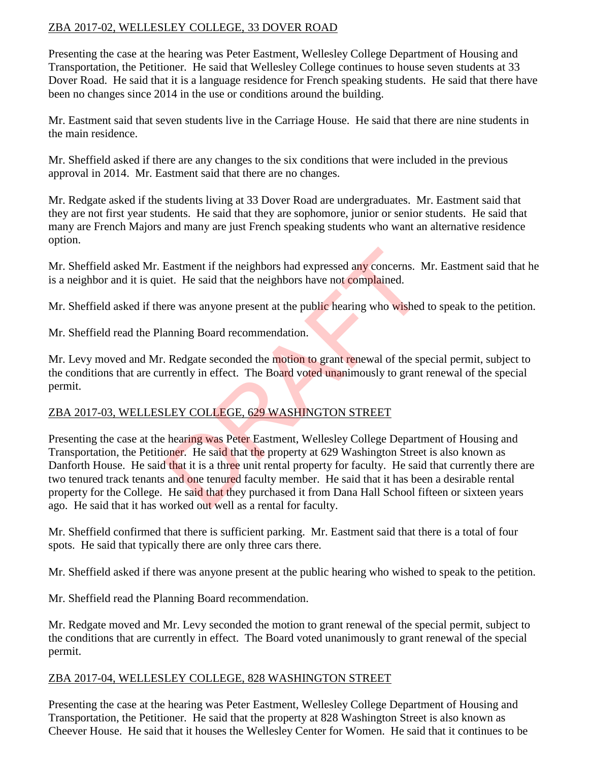## ZBA 2017-02, WELLESLEY COLLEGE, 33 DOVER ROAD

Presenting the case at the hearing was Peter Eastment, Wellesley College Department of Housing and Transportation, the Petitioner. He said that Wellesley College continues to house seven students at 33 Dover Road. He said that it is a language residence for French speaking students. He said that there have been no changes since 2014 in the use or conditions around the building.

Mr. Eastment said that seven students live in the Carriage House. He said that there are nine students in the main residence.

Mr. Sheffield asked if there are any changes to the six conditions that were included in the previous approval in 2014. Mr. Eastment said that there are no changes.

Mr. Redgate asked if the students living at 33 Dover Road are undergraduates. Mr. Eastment said that they are not first year students. He said that they are sophomore, junior or senior students. He said that many are French Majors and many are just French speaking students who want an alternative residence option.

Mr. Sheffield asked Mr. Eastment if the neighbors had expressed any concerns. Mr. Eastment said that he is a neighbor and it is quiet. He said that the neighbors have not complained.

Mr. Sheffield asked if there was anyone present at the public hearing who wished to speak to the petition.

Mr. Sheffield read the Planning Board recommendation.

Mr. Levy moved and Mr. Redgate seconded the motion to grant renewal of the special permit, subject to the conditions that are currently in effect. The Board voted unanimously to grant renewal of the special permit.

# ZBA 2017-03, WELLESLEY COLLEGE, 629 WASHINGTON STREET

Presenting the case at the hearing was Peter Eastment, Wellesley College Department of Housing and Transportation, the Petitioner. He said that the property at 629 Washington Street is also known as Danforth House. He said that it is a three unit rental property for faculty. He said that currently there are two tenured track tenants and one tenured faculty member. He said that it has been a desirable rental property for the College. He said that they purchased it from Dana Hall School fifteen or sixteen years ago. He said that it has worked out well as a rental for faculty. Eastment if the neighbors had expressed any concerns. Net.<br>Here was anyone present at the public hearing who wished<br>anning Board recommendation.<br>The value of the spectral anning Board recommendation.<br>The state seconded the

Mr. Sheffield confirmed that there is sufficient parking. Mr. Eastment said that there is a total of four spots. He said that typically there are only three cars there.

Mr. Sheffield asked if there was anyone present at the public hearing who wished to speak to the petition.

Mr. Sheffield read the Planning Board recommendation.

Mr. Redgate moved and Mr. Levy seconded the motion to grant renewal of the special permit, subject to the conditions that are currently in effect. The Board voted unanimously to grant renewal of the special permit.

# ZBA 2017-04, WELLESLEY COLLEGE, 828 WASHINGTON STREET

Presenting the case at the hearing was Peter Eastment, Wellesley College Department of Housing and Transportation, the Petitioner. He said that the property at 828 Washington Street is also known as Cheever House. He said that it houses the Wellesley Center for Women. He said that it continues to be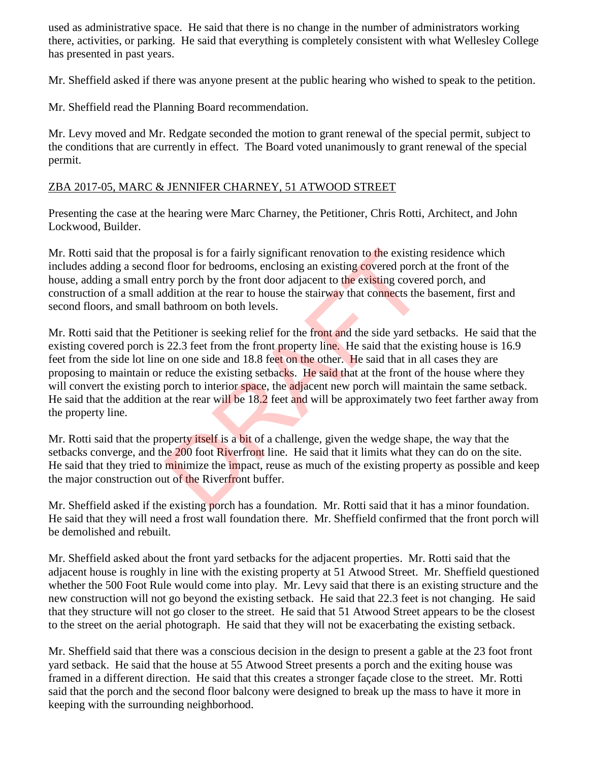used as administrative space. He said that there is no change in the number of administrators working there, activities, or parking. He said that everything is completely consistent with what Wellesley College has presented in past years.

Mr. Sheffield asked if there was anyone present at the public hearing who wished to speak to the petition.

Mr. Sheffield read the Planning Board recommendation.

Mr. Levy moved and Mr. Redgate seconded the motion to grant renewal of the special permit, subject to the conditions that are currently in effect. The Board voted unanimously to grant renewal of the special permit.

### ZBA 2017-05, MARC & JENNIFER CHARNEY, 51 ATWOOD STREET

Presenting the case at the hearing were Marc Charney, the Petitioner, Chris Rotti, Architect, and John Lockwood, Builder.

Mr. Rotti said that the proposal is for a fairly significant renovation to the existing residence which includes adding a second floor for bedrooms, enclosing an existing covered porch at the front of the house, adding a small entry porch by the front door adjacent to the existing covered porch, and construction of a small addition at the rear to house the stairway that connects the basement, first and second floors, and small bathroom on both levels.

Mr. Rotti said that the Petitioner is seeking relief for the front and the side yard setbacks. He said that the existing covered porch is 22.3 feet from the front property line. He said that the existing house is 16.9 feet from the side lot line on one side and 18.8 feet on the other. He said that in all cases they are proposing to maintain or reduce the existing setbacks. He said that at the front of the house where they will convert the existing porch to interior space, the adjacent new porch will maintain the same setback. He said that the addition at the rear will be 18.2 feet and will be approximately two feet farther away from the property line. oposal is for a fairly significant renovation to the existing<br>floor for bedrooms, enclosing an existing covered porch<br>try porch by the front door adjacent to the existing covered<br>dition at the rear to house the stairway th

Mr. Rotti said that the property itself is a bit of a challenge, given the wedge shape, the way that the setbacks converge, and the 200 foot Riverfront line. He said that it limits what they can do on the site. He said that they tried to minimize the impact, reuse as much of the existing property as possible and keep the major construction out of the Riverfront buffer.

Mr. Sheffield asked if the existing porch has a foundation. Mr. Rotti said that it has a minor foundation. He said that they will need a frost wall foundation there. Mr. Sheffield confirmed that the front porch will be demolished and rebuilt.

Mr. Sheffield asked about the front yard setbacks for the adjacent properties. Mr. Rotti said that the adjacent house is roughly in line with the existing property at 51 Atwood Street. Mr. Sheffield questioned whether the 500 Foot Rule would come into play. Mr. Levy said that there is an existing structure and the new construction will not go beyond the existing setback. He said that 22.3 feet is not changing. He said that they structure will not go closer to the street. He said that 51 Atwood Street appears to be the closest to the street on the aerial photograph. He said that they will not be exacerbating the existing setback.

Mr. Sheffield said that there was a conscious decision in the design to present a gable at the 23 foot front yard setback. He said that the house at 55 Atwood Street presents a porch and the exiting house was framed in a different direction. He said that this creates a stronger façade close to the street. Mr. Rotti said that the porch and the second floor balcony were designed to break up the mass to have it more in keeping with the surrounding neighborhood.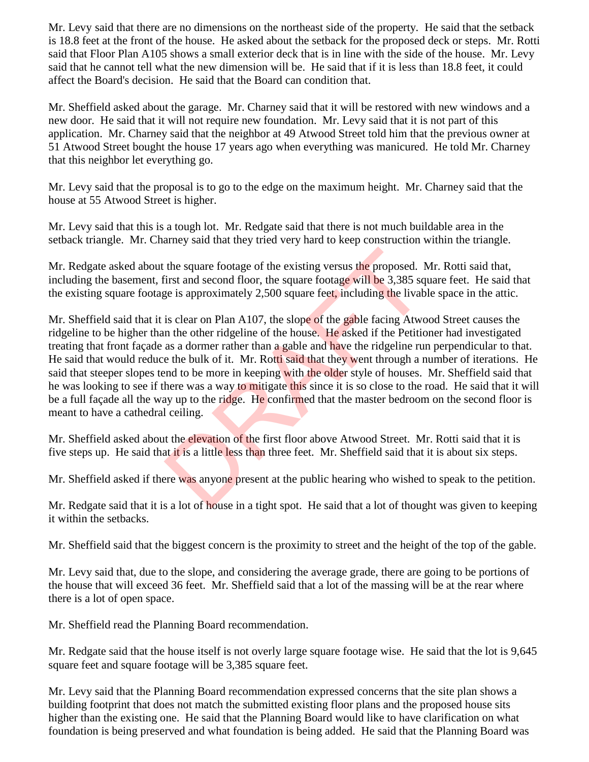Mr. Levy said that there are no dimensions on the northeast side of the property. He said that the setback is 18.8 feet at the front of the house. He asked about the setback for the proposed deck or steps. Mr. Rotti said that Floor Plan A105 shows a small exterior deck that is in line with the side of the house. Mr. Levy said that he cannot tell what the new dimension will be. He said that if it is less than 18.8 feet, it could affect the Board's decision. He said that the Board can condition that.

Mr. Sheffield asked about the garage. Mr. Charney said that it will be restored with new windows and a new door. He said that it will not require new foundation. Mr. Levy said that it is not part of this application. Mr. Charney said that the neighbor at 49 Atwood Street told him that the previous owner at 51 Atwood Street bought the house 17 years ago when everything was manicured. He told Mr. Charney that this neighbor let everything go.

Mr. Levy said that the proposal is to go to the edge on the maximum height. Mr. Charney said that the house at 55 Atwood Street is higher.

Mr. Levy said that this is a tough lot. Mr. Redgate said that there is not much buildable area in the setback triangle. Mr. Charney said that they tried very hard to keep construction within the triangle.

Mr. Redgate asked about the square footage of the existing versus the proposed. Mr. Rotti said that, including the basement, first and second floor, the square footage will be 3,385 square feet. He said that the existing square footage is approximately 2,500 square feet, including the livable space in the attic.

Mr. Sheffield said that it is clear on Plan A107, the slope of the gable facing Atwood Street causes the ridgeline to be higher than the other ridgeline of the house. He asked if the Petitioner had investigated treating that front façade as a dormer rather than a gable and have the ridgeline run perpendicular to that. He said that would reduce the bulk of it. Mr. Rotti said that they went through a number of iterations. He said that steeper slopes tend to be more in keeping with the older style of houses. Mr. Sheffield said that he was looking to see if there was a way to mitigate this since it is so close to the road. He said that it will be a full façade all the way up to the ridge. He confirmed that the master bedroom on the second floor is meant to have a cathedral ceiling. the square footage of the existing versus the proposed. It is stight that second floor, the square footage will be 3,385 square is approximately 2,500 square feet, including the livab is clear on Plan A107, the slope of th

Mr. Sheffield asked about the *elevation* of the first floor above Atwood Street. Mr. Rotti said that it is five steps up. He said that it is a little less than three feet. Mr. Sheffield said that it is about six steps.

Mr. Sheffield asked if there was anyone present at the public hearing who wished to speak to the petition.

Mr. Redgate said that it is a lot of house in a tight spot. He said that a lot of thought was given to keeping it within the setbacks.

Mr. Sheffield said that the biggest concern is the proximity to street and the height of the top of the gable.

Mr. Levy said that, due to the slope, and considering the average grade, there are going to be portions of the house that will exceed 36 feet. Mr. Sheffield said that a lot of the massing will be at the rear where there is a lot of open space.

Mr. Sheffield read the Planning Board recommendation.

Mr. Redgate said that the house itself is not overly large square footage wise. He said that the lot is 9,645 square feet and square footage will be 3,385 square feet.

Mr. Levy said that the Planning Board recommendation expressed concerns that the site plan shows a building footprint that does not match the submitted existing floor plans and the proposed house sits higher than the existing one. He said that the Planning Board would like to have clarification on what foundation is being preserved and what foundation is being added. He said that the Planning Board was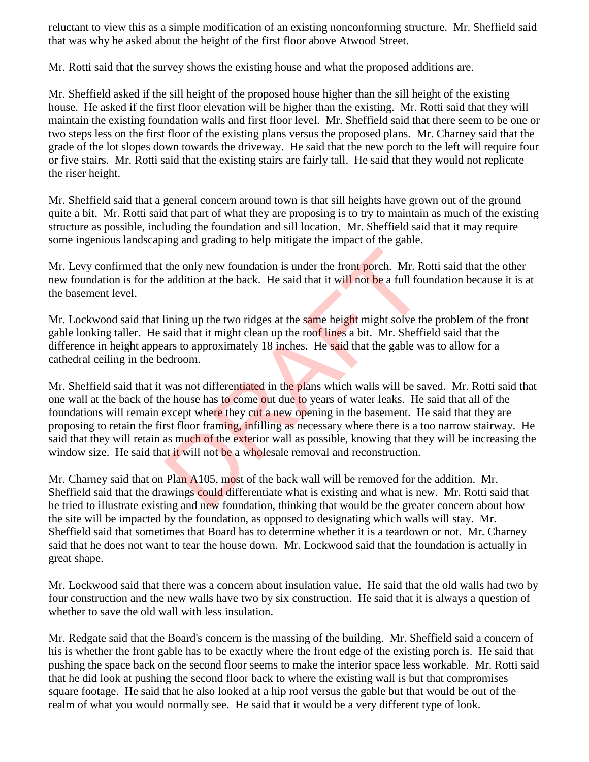reluctant to view this as a simple modification of an existing nonconforming structure. Mr. Sheffield said that was why he asked about the height of the first floor above Atwood Street.

Mr. Rotti said that the survey shows the existing house and what the proposed additions are.

Mr. Sheffield asked if the sill height of the proposed house higher than the sill height of the existing house. He asked if the first floor elevation will be higher than the existing. Mr. Rotti said that they will maintain the existing foundation walls and first floor level. Mr. Sheffield said that there seem to be one or two steps less on the first floor of the existing plans versus the proposed plans. Mr. Charney said that the grade of the lot slopes down towards the driveway. He said that the new porch to the left will require four or five stairs. Mr. Rotti said that the existing stairs are fairly tall. He said that they would not replicate the riser height.

Mr. Sheffield said that a general concern around town is that sill heights have grown out of the ground quite a bit. Mr. Rotti said that part of what they are proposing is to try to maintain as much of the existing structure as possible, including the foundation and sill location. Mr. Sheffield said that it may require some ingenious landscaping and grading to help mitigate the impact of the gable.

Mr. Levy confirmed that the only new foundation is under the front porch. Mr. Rotti said that the other new foundation is for the addition at the back. He said that it will not be a full foundation because it is at the basement level.

Mr. Lockwood said that lining up the two ridges at the same height might solve the problem of the front gable looking taller. He said that it might clean up the roof lines a bit. Mr. Sheffield said that the difference in height appears to approximately 18 inches. He said that the gable was to allow for a cathedral ceiling in the bedroom.

Mr. Sheffield said that it was not differentiated in the plans which walls will be saved. Mr. Rotti said that one wall at the back of the house has to come out due to years of water leaks. He said that all of the foundations will remain except where they cut a new opening in the basement. He said that they are proposing to retain the first floor framing, infilling as necessary where there is a too narrow stairway. He said that they will retain as much of the exterior wall as possible, knowing that they will be increasing the window size. He said that it will not be a wholesale removal and reconstruction. the only new foundation is under the front porch. Mr. R.<br>addition at the back. He said that it will not be a full for<br>lining up the two ridges at the same height might solve th<br>said that it might clean up the roof lines a

Mr. Charney said that on Plan A105, most of the back wall will be removed for the addition. Mr. Sheffield said that the drawings could differentiate what is existing and what is new. Mr. Rotti said that he tried to illustrate existing and new foundation, thinking that would be the greater concern about how the site will be impacted by the foundation, as opposed to designating which walls will stay. Mr. Sheffield said that sometimes that Board has to determine whether it is a teardown or not. Mr. Charney said that he does not want to tear the house down. Mr. Lockwood said that the foundation is actually in great shape.

Mr. Lockwood said that there was a concern about insulation value. He said that the old walls had two by four construction and the new walls have two by six construction. He said that it is always a question of whether to save the old wall with less insulation.

Mr. Redgate said that the Board's concern is the massing of the building. Mr. Sheffield said a concern of his is whether the front gable has to be exactly where the front edge of the existing porch is. He said that pushing the space back on the second floor seems to make the interior space less workable. Mr. Rotti said that he did look at pushing the second floor back to where the existing wall is but that compromises square footage. He said that he also looked at a hip roof versus the gable but that would be out of the realm of what you would normally see. He said that it would be a very different type of look.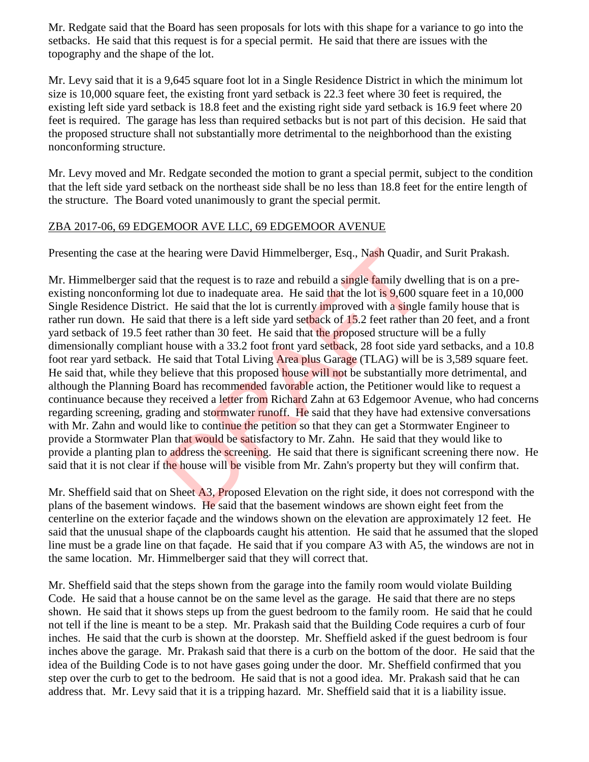Mr. Redgate said that the Board has seen proposals for lots with this shape for a variance to go into the setbacks. He said that this request is for a special permit. He said that there are issues with the topography and the shape of the lot.

Mr. Levy said that it is a 9,645 square foot lot in a Single Residence District in which the minimum lot size is 10,000 square feet, the existing front yard setback is 22.3 feet where 30 feet is required, the existing left side yard setback is 18.8 feet and the existing right side yard setback is 16.9 feet where 20 feet is required. The garage has less than required setbacks but is not part of this decision. He said that the proposed structure shall not substantially more detrimental to the neighborhood than the existing nonconforming structure.

Mr. Levy moved and Mr. Redgate seconded the motion to grant a special permit, subject to the condition that the left side yard setback on the northeast side shall be no less than 18.8 feet for the entire length of the structure. The Board voted unanimously to grant the special permit.

#### ZBA 2017-06, 69 EDGEMOOR AVE LLC, 69 EDGEMOOR AVENUE

Presenting the case at the hearing were David Himmelberger, Esq., Nash Quadir, and Surit Prakash.

Mr. Himmelberger said that the request is to raze and rebuild a single family dwelling that is on a preexisting nonconforming lot due to inadequate area. He said that the lot is 9,600 square feet in a 10,000 Single Residence District. He said that the lot is currently improved with a single family house that is rather run down. He said that there is a left side yard setback of 15.2 feet rather than 20 feet, and a front yard setback of 19.5 feet rather than 30 feet. He said that the proposed structure will be a fully dimensionally compliant house with a 33.2 foot front yard setback, 28 foot side yard setbacks, and a 10.8 foot rear yard setback. He said that Total Living Area plus Garage (TLAG) will be is 3,589 square feet. He said that, while they believe that this proposed house will not be substantially more detrimental, and although the Planning Board has recommended favorable action, the Petitioner would like to request a continuance because they received a letter from Richard Zahn at 63 Edgemoor Avenue, who had concerns regarding screening, grading and stormwater runoff. He said that they have had extensive conversations with Mr. Zahn and would like to continue the petition so that they can get a Stormwater Engineer to provide a Stormwater Plan that would be satisfactory to Mr. Zahn. He said that they would like to provide a planting plan to address the screening. He said that there is significant screening there now. He said that it is not clear if the house will be visible from Mr. Zahn's property but they will confirm that. thearing were David Himmelberger, Esq., Nash Quadir,<br>hat the request is to raze and rebuild a single family dwel<br>ot due to inadequate area. He said that the lot is 9,600 sc<br>f. He said that the lot is currently improved wi

Mr. Sheffield said that on Sheet A3, Proposed Elevation on the right side, it does not correspond with the plans of the basement windows. He said that the basement windows are shown eight feet from the centerline on the exterior façade and the windows shown on the elevation are approximately 12 feet. He said that the unusual shape of the clapboards caught his attention. He said that he assumed that the sloped line must be a grade line on that façade. He said that if you compare A3 with A5, the windows are not in the same location. Mr. Himmelberger said that they will correct that.

Mr. Sheffield said that the steps shown from the garage into the family room would violate Building Code. He said that a house cannot be on the same level as the garage. He said that there are no steps shown. He said that it shows steps up from the guest bedroom to the family room. He said that he could not tell if the line is meant to be a step. Mr. Prakash said that the Building Code requires a curb of four inches. He said that the curb is shown at the doorstep. Mr. Sheffield asked if the guest bedroom is four inches above the garage. Mr. Prakash said that there is a curb on the bottom of the door. He said that the idea of the Building Code is to not have gases going under the door. Mr. Sheffield confirmed that you step over the curb to get to the bedroom. He said that is not a good idea. Mr. Prakash said that he can address that. Mr. Levy said that it is a tripping hazard. Mr. Sheffield said that it is a liability issue.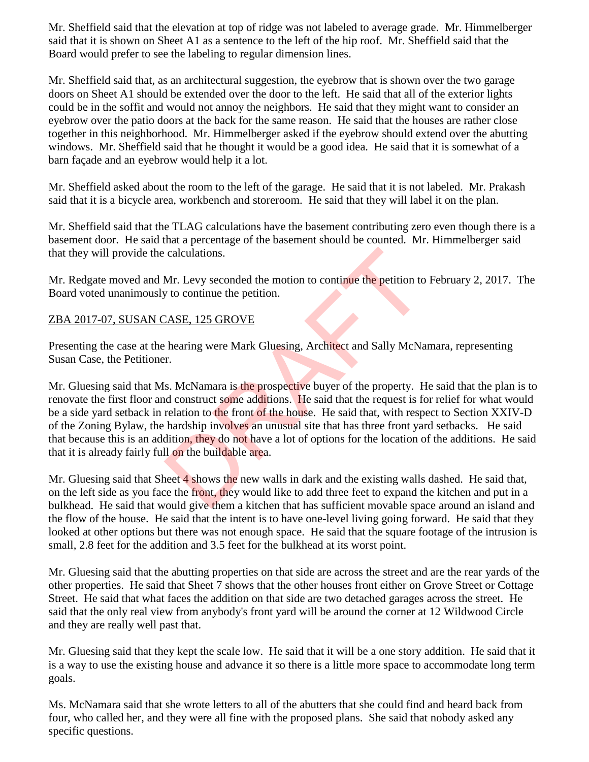Mr. Sheffield said that the elevation at top of ridge was not labeled to average grade. Mr. Himmelberger said that it is shown on Sheet A1 as a sentence to the left of the hip roof. Mr. Sheffield said that the Board would prefer to see the labeling to regular dimension lines.

Mr. Sheffield said that, as an architectural suggestion, the eyebrow that is shown over the two garage doors on Sheet A1 should be extended over the door to the left. He said that all of the exterior lights could be in the soffit and would not annoy the neighbors. He said that they might want to consider an eyebrow over the patio doors at the back for the same reason. He said that the houses are rather close together in this neighborhood. Mr. Himmelberger asked if the eyebrow should extend over the abutting windows. Mr. Sheffield said that he thought it would be a good idea. He said that it is somewhat of a barn façade and an eyebrow would help it a lot.

Mr. Sheffield asked about the room to the left of the garage. He said that it is not labeled. Mr. Prakash said that it is a bicycle area, workbench and storeroom. He said that they will label it on the plan.

Mr. Sheffield said that the TLAG calculations have the basement contributing zero even though there is a basement door. He said that a percentage of the basement should be counted. Mr. Himmelberger said that they will provide the calculations.

Mr. Redgate moved and Mr. Levy seconded the motion to continue the petition to February 2, 2017. The Board voted unanimously to continue the petition.

## ZBA 2017-07, SUSAN CASE, 125 GROVE

Presenting the case at the hearing were Mark Gluesing, Architect and Sally McNamara, representing Susan Case, the Petitioner.

Mr. Gluesing said that Ms. McNamara is the prospective buyer of the property. He said that the plan is to renovate the first floor and construct some additions. He said that the request is for relief for what would be a side yard setback in relation to the front of the house. He said that, with respect to Section XXIV-D of the Zoning Bylaw, the hardship involves an unusual site that has three front yard setbacks. He said that because this is an addition, they do not have a lot of options for the location of the additions. He said that it is already fairly full on the buildable area. calculations.<br>
Mr. Levy seconded the motion to continue the petition to<br>
y to continue the petition.<br>
CASE, 125 GROVE<br>
chearing were Mark Gluesing, Architect and Sally McNa<br>
r.<br>
is. McNamara is the prospective buyer of the

Mr. Gluesing said that Sheet 4 shows the new walls in dark and the existing walls dashed. He said that, on the left side as you face the front, they would like to add three feet to expand the kitchen and put in a bulkhead. He said that would give them a kitchen that has sufficient movable space around an island and the flow of the house. He said that the intent is to have one-level living going forward. He said that they looked at other options but there was not enough space. He said that the square footage of the intrusion is small, 2.8 feet for the addition and 3.5 feet for the bulkhead at its worst point.

Mr. Gluesing said that the abutting properties on that side are across the street and are the rear yards of the other properties. He said that Sheet 7 shows that the other houses front either on Grove Street or Cottage Street. He said that what faces the addition on that side are two detached garages across the street. He said that the only real view from anybody's front yard will be around the corner at 12 Wildwood Circle and they are really well past that.

Mr. Gluesing said that they kept the scale low. He said that it will be a one story addition. He said that it is a way to use the existing house and advance it so there is a little more space to accommodate long term goals.

Ms. McNamara said that she wrote letters to all of the abutters that she could find and heard back from four, who called her, and they were all fine with the proposed plans. She said that nobody asked any specific questions.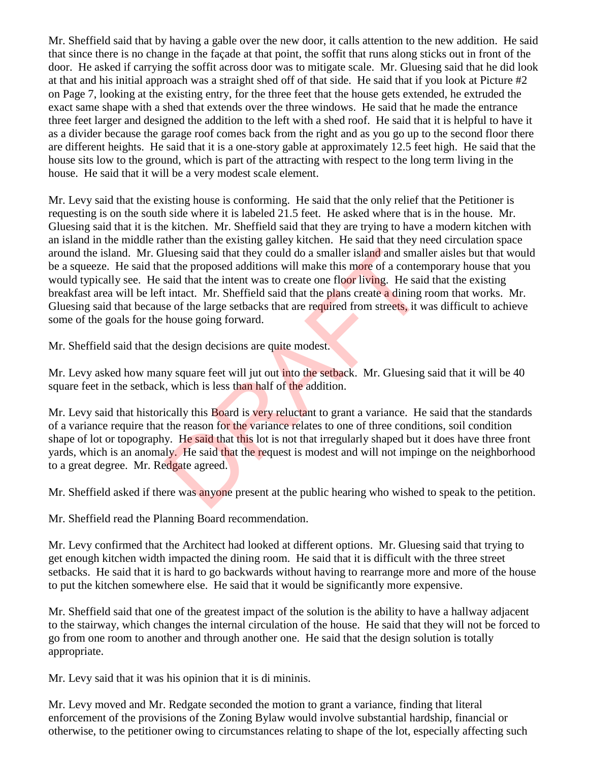Mr. Sheffield said that by having a gable over the new door, it calls attention to the new addition. He said that since there is no change in the façade at that point, the soffit that runs along sticks out in front of the door. He asked if carrying the soffit across door was to mitigate scale. Mr. Gluesing said that he did look at that and his initial approach was a straight shed off of that side. He said that if you look at Picture #2 on Page 7, looking at the existing entry, for the three feet that the house gets extended, he extruded the exact same shape with a shed that extends over the three windows. He said that he made the entrance three feet larger and designed the addition to the left with a shed roof. He said that it is helpful to have it as a divider because the garage roof comes back from the right and as you go up to the second floor there are different heights. He said that it is a one-story gable at approximately 12.5 feet high. He said that the house sits low to the ground, which is part of the attracting with respect to the long term living in the house. He said that it will be a very modest scale element.

Mr. Levy said that the existing house is conforming. He said that the only relief that the Petitioner is requesting is on the south side where it is labeled 21.5 feet. He asked where that is in the house. Mr. Gluesing said that it is the kitchen. Mr. Sheffield said that they are trying to have a modern kitchen with an island in the middle rather than the existing galley kitchen. He said that they need circulation space around the island. Mr. Gluesing said that they could do a smaller island and smaller aisles but that would be a squeeze. He said that the proposed additions will make this more of a contemporary house that you would typically see. He said that the intent was to create one floor living. He said that the existing breakfast area will be left intact. Mr. Sheffield said that the plans create a dining room that works. Mr. Gluesing said that because of the large setbacks that are required from streets, it was difficult to achieve some of the goals for the house going forward. luesing said that they could do a smaller island and small<br>at the proposed additions will make this more of a conten<br>said that the intent was to create one floor living. He said<br>intact. Mr. Sheffield said that the plans cr

Mr. Sheffield said that the design decisions are quite modest.

Mr. Levy asked how many square feet will jut out into the setback. Mr. Gluesing said that it will be 40 square feet in the setback, which is less than half of the addition.

Mr. Levy said that historically this Board is very reluctant to grant a variance. He said that the standards of a variance require that the reason for the variance relates to one of three conditions, soil condition shape of lot or topography. He said that this lot is not that irregularly shaped but it does have three front yards, which is an anomaly. He said that the request is modest and will not impinge on the neighborhood to a great degree. Mr. Redgate agreed.

Mr. Sheffield asked if there was anyone present at the public hearing who wished to speak to the petition.

Mr. Sheffield read the Planning Board recommendation.

Mr. Levy confirmed that the Architect had looked at different options. Mr. Gluesing said that trying to get enough kitchen width impacted the dining room. He said that it is difficult with the three street setbacks. He said that it is hard to go backwards without having to rearrange more and more of the house to put the kitchen somewhere else. He said that it would be significantly more expensive.

Mr. Sheffield said that one of the greatest impact of the solution is the ability to have a hallway adjacent to the stairway, which changes the internal circulation of the house. He said that they will not be forced to go from one room to another and through another one. He said that the design solution is totally appropriate.

Mr. Levy said that it was his opinion that it is di mininis.

Mr. Levy moved and Mr. Redgate seconded the motion to grant a variance, finding that literal enforcement of the provisions of the Zoning Bylaw would involve substantial hardship, financial or otherwise, to the petitioner owing to circumstances relating to shape of the lot, especially affecting such